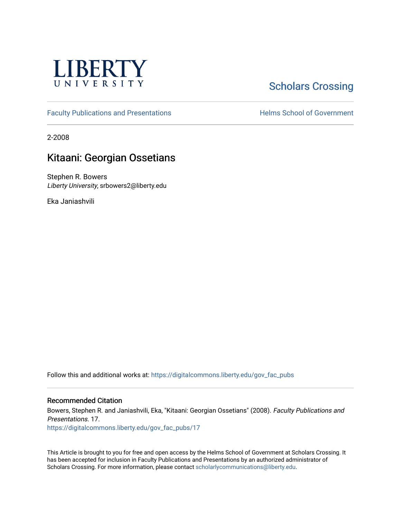

## **Scholars Crossing**

[Faculty Publications and Presentations](https://digitalcommons.liberty.edu/gov_fac_pubs) **Exercise School of Government** 

2-2008

## Kitaani: Georgian Ossetians

Stephen R. Bowers Liberty University, srbowers2@liberty.edu

Eka Janiashvili

Follow this and additional works at: [https://digitalcommons.liberty.edu/gov\\_fac\\_pubs](https://digitalcommons.liberty.edu/gov_fac_pubs?utm_source=digitalcommons.liberty.edu%2Fgov_fac_pubs%2F17&utm_medium=PDF&utm_campaign=PDFCoverPages)

#### Recommended Citation

Bowers, Stephen R. and Janiashvili, Eka, "Kitaani: Georgian Ossetians" (2008). Faculty Publications and Presentations. 17. [https://digitalcommons.liberty.edu/gov\\_fac\\_pubs/17](https://digitalcommons.liberty.edu/gov_fac_pubs/17?utm_source=digitalcommons.liberty.edu%2Fgov_fac_pubs%2F17&utm_medium=PDF&utm_campaign=PDFCoverPages) 

This Article is brought to you for free and open access by the Helms School of Government at Scholars Crossing. It has been accepted for inclusion in Faculty Publications and Presentations by an authorized administrator of Scholars Crossing. For more information, please contact [scholarlycommunications@liberty.edu.](mailto:scholarlycommunications@liberty.edu)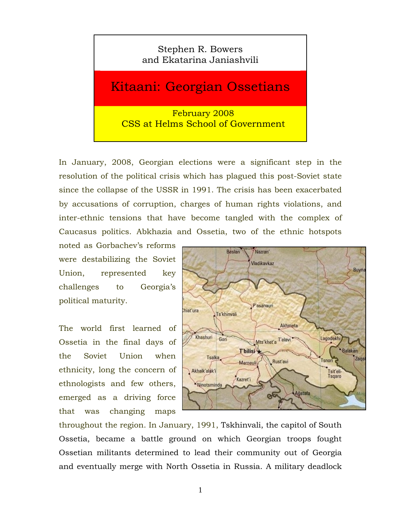### Stephen R. Bowers and Ekatarina Janiashvili

# Kitaani: Georgian Ossetians

February 2008 CSS at Helms School of Government

In January, 2008, Georgian elections were a significant step in the resolution of the political crisis which has plagued this post-Soviet state since the collapse of the USSR in 1991. The crisis has been exacerbated by accusations of corruption, charges of human rights violations, and inter-ethnic tensions that have become tangled with the complex of Caucasus politics. Abkhazia and Ossetia, two of the ethnic hotspots

noted as Gorbachev's reforms were destabilizing the Soviet Union, represented key challenges to Georgia's political maturity.

The world first learned of Ossetia in the final days of the Soviet Union when ethnicity, long the concern of ethnologists and few others, emerged as a driving force that was changing maps



throughout the region. In January, 1991, Tskhinvali, the capitol of South Ossetia, became a battle ground on which Georgian troops fought Ossetian militants determined to lead their community out of Georgia and eventually merge with North Ossetia in Russia. A military deadlock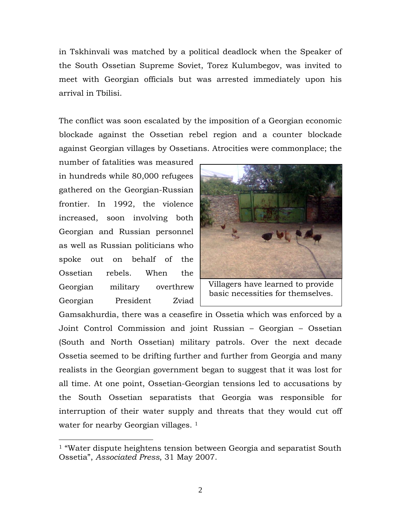in Tskhinvali was matched by a political deadlock when the Speaker of the South Ossetian Supreme Soviet, Torez Kulumbegov, was invited to meet with Georgian officials but was arrested immediately upon his arrival in Tbilisi.

The conflict was soon escalated by the imposition of a Georgian economic blockade against the Ossetian rebel region and a counter blockade against Georgian villages by Ossetians. Atrocities were commonplace; the

number of fatalities was measured in hundreds while 80,000 refugees gathered on the Georgian-Russian frontier. In 1992, the violence increased, soon involving both Georgian and Russian personnel as well as Russian politicians who spoke out on behalf of the Ossetian rebels. When the Georgian military overthrew Georgian President Zviad

 $\overline{a}$ 



Villagers have learned to provide basic necessities for themselves.

Gamsakhurdia, there was a ceasefire in Ossetia which was enforced by a Joint Control Commission and joint Russian – Georgian – Ossetian (South and North Ossetian) military patrols. Over the next decade Ossetia seemed to be drifting further and further from Georgia and many realists in the Georgian government began to suggest that it was lost for all time. At one point, Ossetian-Georgian tensions led to accusations by the South Ossetian separatists that Georgia was responsible for interruption of their water supply and threats that they would cut off water for nearby Georgian villages.<sup>1</sup>

<sup>&</sup>lt;sup>1</sup> "Water dispute heightens tension between Georgia and separatist South Ossetia", *Associated Press*, 31 May 2007.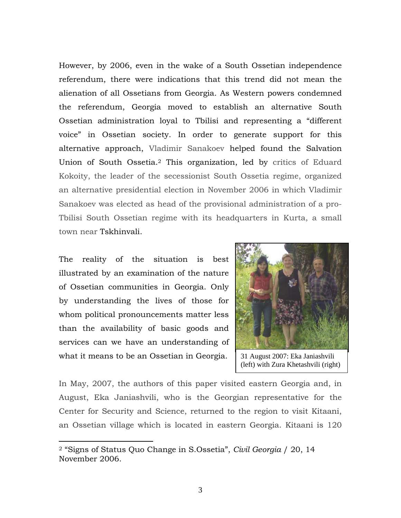However, by 2006, even in the wake of a South Ossetian independence referendum, there were indications that this trend did not mean the alienation of all Ossetians from Georgia. As Western powers condemned the referendum, Georgia moved to establish an alternative South Ossetian administration loyal to Tbilisi and representing a "different voice" in Ossetian society. In order to generate support for this alternative approach, Vladimir Sanakoev helped found the Salvation Union of South Ossetia.2 This organization, led by critics of Eduard Kokoity, the leader of the secessionist South Ossetia regime, organized an alternative presidential election in November 2006 in which Vladimir Sanakoev was elected as head of the provisional administration of a pro-Tbilisi South Ossetian regime with its headquarters in Kurta, a small town near Tskhinvali.

The reality of the situation is best illustrated by an examination of the nature of Ossetian communities in Georgia. Only by understanding the lives of those for whom political pronouncements matter less than the availability of basic goods and services can we have an understanding of what it means to be an Ossetian in Georgia.

 $\overline{a}$ 



31 August 2007: Eka Janiashvili (left) with Zura Khetashvili (right)

In May, 2007, the authors of this paper visited eastern Georgia and, in August, Eka Janiashvili, who is the Georgian representative for the Center for Security and Science, returned to the region to visit Kitaani, an Ossetian village which is located in eastern Georgia. Kitaani is 120

<sup>2 &</sup>quot;Signs of Status Quo Change in S.Ossetia", *Civil Georgia* / 20, 14 November 2006.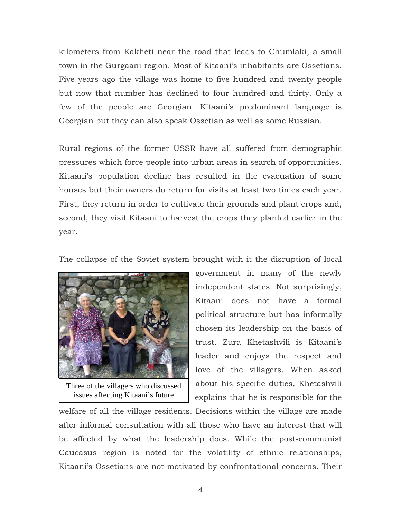kilometers from Kakheti near the road that leads to Chumlaki, a small town in the Gurgaani region. Most of Kitaani's inhabitants are Ossetians. Five years ago the village was home to five hundred and twenty people but now that number has declined to four hundred and thirty. Only a few of the people are Georgian. Kitaani's predominant language is Georgian but they can also speak Ossetian as well as some Russian.

Rural regions of the former USSR have all suffered from demographic pressures which force people into urban areas in search of opportunities. Kitaani's population decline has resulted in the evacuation of some houses but their owners do return for visits at least two times each year. First, they return in order to cultivate their grounds and plant crops and, second, they visit Kitaani to harvest the crops they planted earlier in the year.

The collapse of the Soviet system brought with it the disruption of local



Three of the villagers who discussed issues affecting Kitaani's future

government in many of the newly independent states. Not surprisingly, Kitaani does not have a formal political structure but has informally chosen its leadership on the basis of trust. Zura Khetashvili is Kitaani's leader and enjoys the respect and love of the villagers. When asked about his specific duties, Khetashvili explains that he is responsible for the

welfare of all the village residents. Decisions within the village are made after informal consultation with all those who have an interest that will be affected by what the leadership does. While the post-communist Caucasus region is noted for the volatility of ethnic relationships, Kitaani's Ossetians are not motivated by confrontational concerns. Their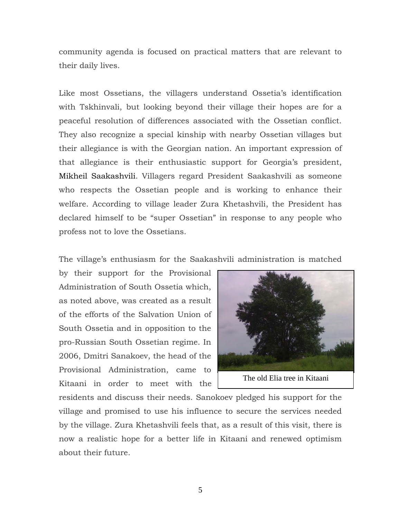community agenda is focused on practical matters that are relevant to their daily lives.

Like most Ossetians, the villagers understand Ossetia's identification with Tskhinvali, but looking beyond their village their hopes are for a peaceful resolution of differences associated with the Ossetian conflict. They also recognize a special kinship with nearby Ossetian villages but their allegiance is with the Georgian nation. An important expression of that allegiance is their enthusiastic support for Georgia's president, Mikheil Saakashvili. Villagers regard President Saakashvili as someone who respects the Ossetian people and is working to enhance their welfare. According to village leader Zura Khetashvili, the President has declared himself to be "super Ossetian" in response to any people who profess not to love the Ossetians.

The village's enthusiasm for the Saakashvili administration is matched

by their support for the Provisional Administration of South Ossetia which, as noted above, was created as a result of the efforts of the Salvation Union of South Ossetia and in opposition to the pro-Russian South Ossetian regime. In 2006, Dmitri Sanakoev, the head of the Provisional Administration, came to Kitaani in order to meet with the



The old Elia tree in Kitaani

residents and discuss their needs. Sanokoev pledged his support for the village and promised to use his influence to secure the services needed by the village. Zura Khetashvili feels that, as a result of this visit, there is now a realistic hope for a better life in Kitaani and renewed optimism about their future.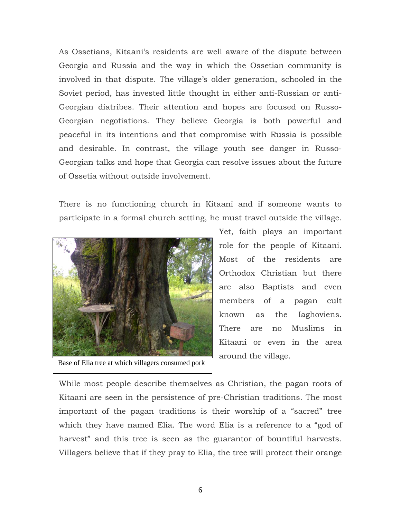As Ossetians, Kitaani's residents are well aware of the dispute between Georgia and Russia and the way in which the Ossetian community is involved in that dispute. The village's older generation, schooled in the Soviet period, has invested little thought in either anti-Russian or anti-Georgian diatribes. Their attention and hopes are focused on Russo-Georgian negotiations. They believe Georgia is both powerful and peaceful in its intentions and that compromise with Russia is possible and desirable. In contrast, the village youth see danger in Russo-Georgian talks and hope that Georgia can resolve issues about the future of Ossetia without outside involvement.

There is no functioning church in Kitaani and if someone wants to participate in a formal church setting, he must travel outside the village.



Base of Elia tree at which villagers consumed pork

Yet, faith plays an important role for the people of Kitaani. Most of the residents are Orthodox Christian but there are also Baptists and even members of a pagan cult known as the Iaghoviens. There are no Muslims in Kitaani or even in the area around the village.

While most people describe themselves as Christian, the pagan roots of Kitaani are seen in the persistence of pre-Christian traditions. The most important of the pagan traditions is their worship of a "sacred" tree which they have named Elia. The word Elia is a reference to a "god of harvest" and this tree is seen as the guarantor of bountiful harvests. Villagers believe that if they pray to Elia, the tree will protect their orange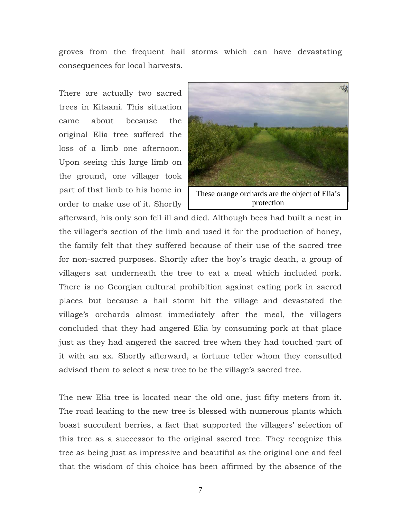groves from the frequent hail storms which can have devastating consequences for local harvests.

There are actually two sacred trees in Kitaani. This situation came about because the original Elia tree suffered the loss of a limb one afternoon. Upon seeing this large limb on the ground, one villager took part of that limb to his home in order to make use of it. Shortly



afterward, his only son fell ill and died. Although bees had built a nest in the villager's section of the limb and used it for the production of honey, the family felt that they suffered because of their use of the sacred tree for non-sacred purposes. Shortly after the boy's tragic death, a group of villagers sat underneath the tree to eat a meal which included pork. There is no Georgian cultural prohibition against eating pork in sacred places but because a hail storm hit the village and devastated the village's orchards almost immediately after the meal, the villagers concluded that they had angered Elia by consuming pork at that place just as they had angered the sacred tree when they had touched part of it with an ax. Shortly afterward, a fortune teller whom they consulted advised them to select a new tree to be the village's sacred tree.

The new Elia tree is located near the old one, just fifty meters from it. The road leading to the new tree is blessed with numerous plants which boast succulent berries, a fact that supported the villagers' selection of this tree as a successor to the original sacred tree. They recognize this tree as being just as impressive and beautiful as the original one and feel that the wisdom of this choice has been affirmed by the absence of the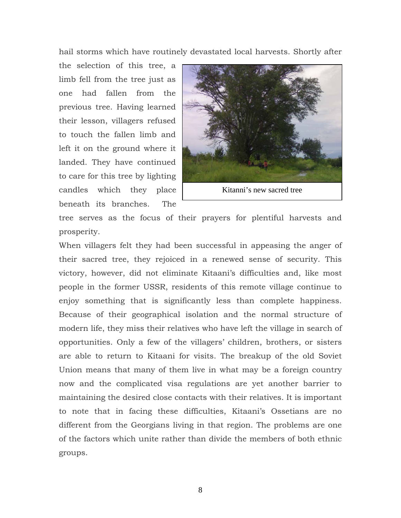hail storms which have routinely devastated local harvests. Shortly after

the selection of this tree, a limb fell from the tree just as one had fallen from the previous tree. Having learned their lesson, villagers refused to touch the fallen limb and left it on the ground where it landed. They have continued to care for this tree by lighting candles which they place beneath its branches. The



tree serves as the focus of their prayers for plentiful harvests and prosperity.

When villagers felt they had been successful in appeasing the anger of their sacred tree, they rejoiced in a renewed sense of security. This victory, however, did not eliminate Kitaani's difficulties and, like most people in the former USSR, residents of this remote village continue to enjoy something that is significantly less than complete happiness. Because of their geographical isolation and the normal structure of modern life, they miss their relatives who have left the village in search of opportunities. Only a few of the villagers' children, brothers, or sisters are able to return to Kitaani for visits. The breakup of the old Soviet Union means that many of them live in what may be a foreign country now and the complicated visa regulations are yet another barrier to maintaining the desired close contacts with their relatives. It is important to note that in facing these difficulties, Kitaani's Ossetians are no different from the Georgians living in that region. The problems are one of the factors which unite rather than divide the members of both ethnic groups.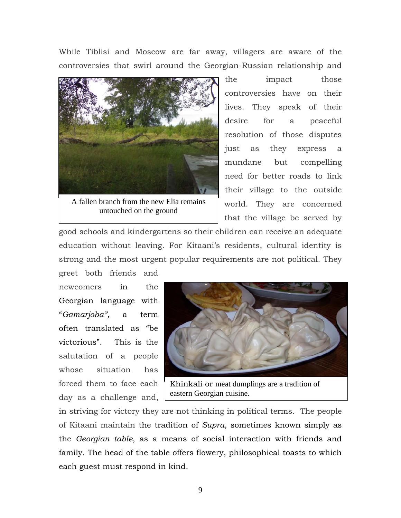While Tiblisi and Moscow are far away, villagers are aware of the controversies that swirl around the Georgian-Russian relationship and



A fallen branch from the new Elia remains untouched on the ground

the impact those controversies have on their lives. They speak of their desire for a peaceful resolution of those disputes just as they express a mundane but compelling need for better roads to link their village to the outside world. They are concerned that the village be served by

good schools and kindergartens so their children can receive an adequate education without leaving. For Kitaani's residents, cultural identity is strong and the most urgent popular requirements are not political. They greet both friends and

newcomers in the Georgian language with "*Gamarjoba",* a term often translated as "be victorious". This is the salutation of a people whose situation has forced them to face each day as a challenge and,



Khinkali or meat dumplings are a tradition of eastern Georgian cuisine.

in striving for victory they are not thinking in political terms. The people of Kitaani maintain the tradition of *Supra*, sometimes known simply as the *Georgian table*, as a means of social interaction with friends and family. The head of the table offers flowery, philosophical toasts to which each guest must respond in kind.